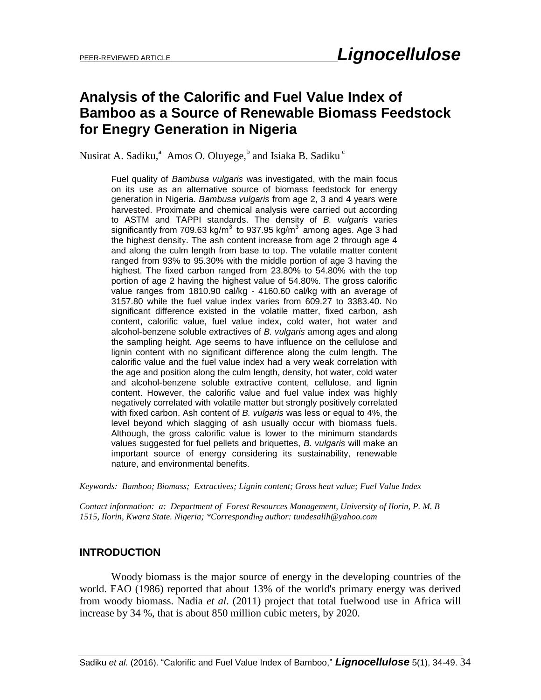# **Analysis of the Calorific and Fuel Value Index of Bamboo as a Source of Renewable Biomass Feedstock for Enegry Generation in Nigeria**

Nusirat A. Sadiku,<sup>a</sup> Amos O. Oluyege,<sup>b</sup> and Isiaka B. Sadiku  $\degree$ 

Fuel quality of *Bambusa vulgaris* was investigated, with the main focus on its use as an alternative source of biomass feedstock for energy generation in Nigeria. *Bambusa vulgaris* from age 2, 3 and 4 years were harvested. Proximate and chemical analysis were carried out according to ASTM and TAPPI standards. The density of *B. vulgari*s varies significantly from 709.63 kg/m<sup>3</sup> to 937.95 kg/m<sup>3</sup> among ages. Age 3 had the highest density. The ash content increase from age 2 through age 4 and along the culm length from base to top. The volatile matter content ranged from 93% to 95.30% with the middle portion of age 3 having the highest. The fixed carbon ranged from 23.80% to 54.80% with the top portion of age 2 having the highest value of 54.80%. The gross calorific value ranges from 1810.90 cal/kg - 4160.60 cal/kg with an average of 3157.80 while the fuel value index varies from 609.27 to 3383.40. No significant difference existed in the volatile matter, fixed carbon, ash content, calorific value, fuel value index, cold water, hot water and alcohol-benzene soluble extractives of *B. vulgaris* among ages and along the sampling height. Age seems to have influence on the cellulose and lignin content with no significant difference along the culm length. The calorific value and the fuel value index had a very weak correlation with the age and position along the culm length, density, hot water, cold water and alcohol-benzene soluble extractive content, cellulose, and lignin content. However, the calorific value and fuel value index was highly negatively correlated with volatile matter but strongly positively correlated with fixed carbon. Ash content of *B. vulgaris* was less or equal to 4%, the level beyond which slagging of ash usually occur with biomass fuels. Although, the gross calorific value is lower to the minimum standards values suggested for fuel pellets and briquettes, *B. vulgaris* will make an important source of energy considering its sustainability, renewable nature, and environmental benefits.

*Keywords: Bamboo; Biomass; Extractives; Lignin content; Gross heat value; Fuel Value Index* 

*Contact information: a: Department of Forest Resources Management, University of Ilorin, P. M. B 1515, Ilorin, Kwara State. Nigeria; \*Corresponding author: tundesali[h@yahoo.com](mailto:liujb3@ncsu.edu)*

### **INTRODUCTION**

Woody biomass is the major source of energy in the developing countries of the world. FAO (1986) reported that about 13% of the world's primary energy was derived from woody biomass. Nadia *et al*. (2011) project that total fuelwood use in Africa will increase by 34 %, that is about 850 million cubic meters, by 2020.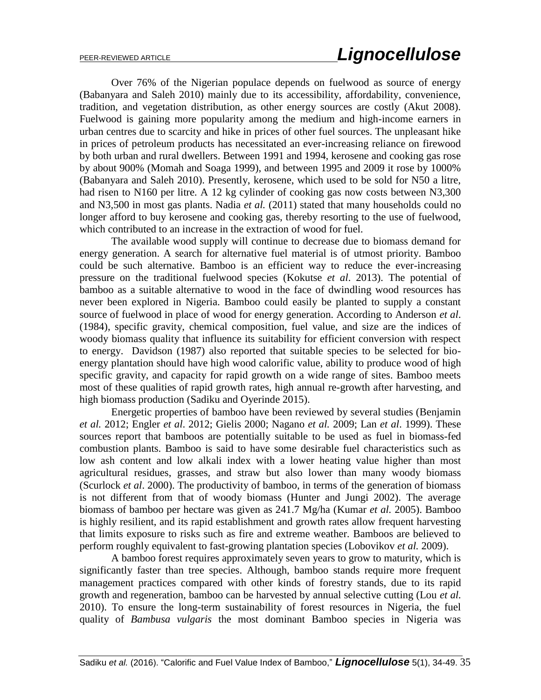Over 76% of the Nigerian populace depends on fuelwood as source of energy (Babanyara and Saleh 2010) mainly due to its accessibility, affordability, convenience, tradition, and vegetation distribution, as other energy sources are costly (Akut 2008). Fuelwood is gaining more popularity among the medium and high-income earners in urban centres due to scarcity and hike in prices of other fuel sources. The unpleasant hike in prices of petroleum products has necessitated an ever-increasing reliance on firewood by both urban and rural dwellers. Between 1991 and 1994, kerosene and cooking gas rose by about 900% (Momah and Soaga 1999), and between 1995 and 2009 it rose by 1000% (Babanyara and Saleh 2010). Presently, kerosene, which used to be sold for N50 a litre, had risen to N160 per litre. A 12 kg cylinder of cooking gas now costs between N3,300 and N3,500 in most gas plants. Nadia *et al.* (2011) stated that many households could no longer afford to buy kerosene and cooking gas, thereby resorting to the use of fuelwood, which contributed to an increase in the extraction of wood for fuel.

The available wood supply will continue to decrease due to biomass demand for energy generation. A search for alternative fuel material is of utmost priority. Bamboo could be such alternative. Bamboo is an efficient way to reduce the ever-increasing pressure on the traditional fuelwood species (Kokutse *et al*. 2013). The potential of bamboo as a suitable alternative to wood in the face of dwindling wood resources has never been explored in Nigeria. Bamboo could easily be planted to supply a constant source of fuelwood in place of wood for energy generation. According to Anderson *et al*. (1984), specific gravity, chemical composition, fuel value, and size are the indices of woody biomass quality that influence its suitability for efficient conversion with respect to energy. Davidson (1987) also reported that suitable species to be selected for bioenergy plantation should have high wood calorific value, ability to produce wood of high specific gravity, and capacity for rapid growth on a wide range of sites. Bamboo meets most of these qualities of rapid growth rates, high annual re-growth after harvesting, and high biomass production (Sadiku and Oyerinde 2015).

 Energetic properties of bamboo have been reviewed by several studies (Benjamin *et al.* 2012; Engler *et al*. 2012; Gielis 2000; Nagano *et al.* 2009; Lan *et al*. 1999). These sources report that bamboos are potentially suitable to be used as fuel in biomass-fed combustion plants. Bamboo is said to have some desirable fuel characteristics such as low ash content and low alkali index with a lower heating value higher than most agricultural residues, grasses, and straw but also lower than many woody biomass (Scurlock *et al*. 2000). The productivity of bamboo, in terms of the generation of biomass is not different from that of woody biomass (Hunter and Jungi 2002). The average biomass of bamboo per hectare was given as 241.7 Mg/ha (Kumar *et al.* 2005). Bamboo is highly resilient, and its rapid establishment and growth rates allow frequent harvesting that limits exposure to risks such as fire and extreme weather. Bamboos are believed to perform roughly equivalent to fast-growing plantation species (Lobovikov *et al.* 2009).

A bamboo forest requires approximately seven years to grow to maturity, which is significantly faster than tree species. Although, bamboo stands require more frequent management practices compared with other kinds of forestry stands, due to its rapid growth and regeneration, bamboo can be harvested by annual selective cutting (Lou *et al.* 2010). To ensure the long-term sustainability of forest resources in Nigeria, the fuel quality of *Bambusa vulgaris* the most dominant Bamboo species in Nigeria was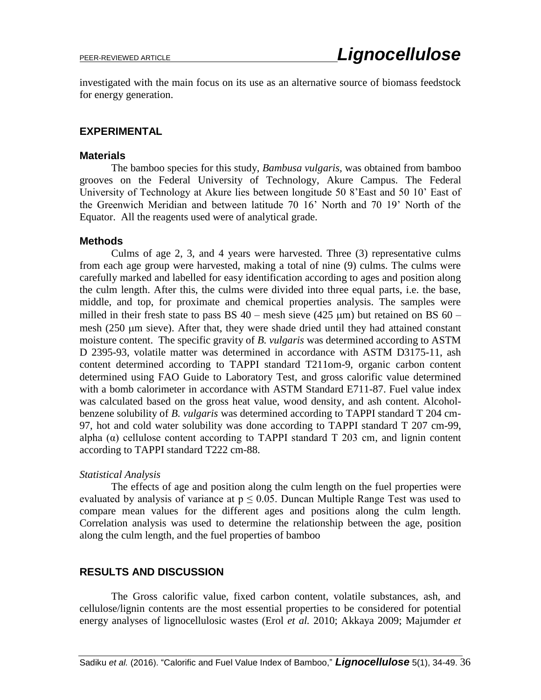investigated with the main focus on its use as an alternative source of biomass feedstock for energy generation.

### **EXPERIMENTAL**

#### **Materials**

The bamboo species for this study, *Bambusa vulgaris,* was obtained from bamboo grooves on the Federal University of Technology, Akure Campus. The Federal University of Technology at Akure lies between longitude 50 8'East and 50 10' East of the Greenwich Meridian and between latitude 70 16' North and 70 19' North of the Equator. All the reagents used were of analytical grade.

### **Methods**

Culms of age 2, 3, and 4 years were harvested. Three (3) representative culms from each age group were harvested, making a total of nine (9) culms. The culms were carefully marked and labelled for easy identification according to ages and position along the culm length. After this, the culms were divided into three equal parts, i.e. the base, middle, and top, for proximate and chemical properties analysis. The samples were milled in their fresh state to pass BS  $40$  – mesh sieve (425  $\mu$ m) but retained on BS 60 – mesh (250 um sieve). After that, they were shade dried until they had attained constant moisture content. The specific gravity of *B. vulgaris* was determined according to ASTM D 2395-93, volatile matter was determined in accordance with ASTM D3175-11, ash content determined according to TAPPI standard T211om-9, organic carbon content determined using FAO Guide to Laboratory Test, and gross calorific value determined with a bomb calorimeter in accordance with ASTM Standard E711-87. Fuel value index was calculated based on the gross heat value, wood density, and ash content. Alcoholbenzene solubility of *B. vulgaris* was determined according to TAPPI standard T 204 cm-97, hot and cold water solubility was done according to TAPPI standard T 207 cm-99, alpha  $(\alpha)$  cellulose content according to TAPPI standard T 203 cm, and lignin content according to TAPPI standard T222 cm-88.

### *Statistical Analysis*

The effects of age and position along the culm length on the fuel properties were evaluated by analysis of variance at  $p \le 0.05$ . Duncan Multiple Range Test was used to compare mean values for the different ages and positions along the culm length. Correlation analysis was used to determine the relationship between the age, position along the culm length, and the fuel properties of bamboo

### **RESULTS AND DISCUSSION**

The Gross calorific value, fixed carbon content, volatile substances, ash, and cellulose/lignin contents are the most essential properties to be considered for potential energy analyses of lignocellulosic wastes (Erol *et al.* 2010; Akkaya 2009; Majumder *et*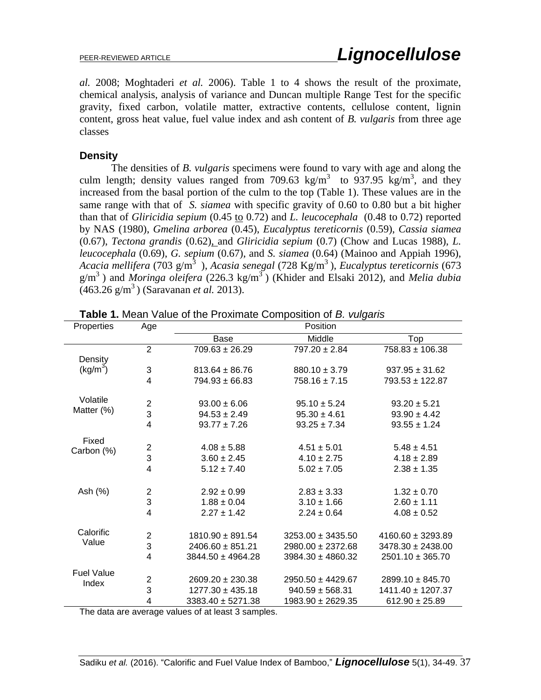*al.* 2008; Moghtaderi *et al.* 2006). Table 1 to 4 shows the result of the proximate, chemical analysis, analysis of variance and Duncan multiple Range Test for the specific gravity, fixed carbon, volatile matter, extractive contents, cellulose content, lignin content, gross heat value, fuel value index and ash content of *B. vulgaris* from three age classes

### **Density**

The densities of *B. vulgaris* specimens were found to vary with age and along the culm length; density values ranged from 709.63 kg/m<sup>3</sup> to 937.95 kg/m<sup>3</sup>, and they increased from the basal portion of the culm to the top (Table 1). These values are in the same range with that of *S. siamea* with specific gravity of 0.60 to 0.80 but a bit higher than that of *Gliricidia sepium* (0.45 to 0.72) and *L. leucocephala* (0.48 to 0.72) reported by NAS (1980), *Gmelina arborea* (0.45), *Eucalyptus tereticornis* (0.59), *Cassia siamea* (0.67), *Tectona grandis* (0.62), and *Gliricidia sepium* (0.7) (Chow and Lucas 1988), *L. leucocephala* (0.69), *G. sepium* (0.67), and *S. siamea* (0.64) (Mainoo and Appiah 1996), *Acacia mellifera* (703 g/m <sup>3</sup>), *Acasia senegal* (728 Kg/m <sup>3</sup>), *Eucalyptus tereticornis* (673 g/m <sup>3</sup>) and *Moringa oleifera* (226.3 kg/m <sup>3</sup>) (Khider and Elsaki 2012), and *Melia dubia*  (463.26 g/m <sup>3</sup>) (Saravanan *et al.* 2013).

| Properties           | Age                     | Position              |                       |                       |  |  |
|----------------------|-------------------------|-----------------------|-----------------------|-----------------------|--|--|
|                      |                         | Base                  | Middle                | Top                   |  |  |
|                      | $\overline{2}$          | $709.63 \pm 26.29$    | $797.20 \pm 2.84$     | $758.83 \pm 106.38$   |  |  |
| Density              |                         |                       |                       |                       |  |  |
| (kg/m <sup>3</sup> ) | 3                       | $813.64 \pm 86.76$    | $880.10 \pm 3.79$     | $937.95 \pm 31.62$    |  |  |
|                      | $\overline{4}$          | $794.93 \pm 66.83$    | $758.16 \pm 7.15$     | 793.53 ± 122.87       |  |  |
| Volatile             | $\overline{\mathbf{c}}$ | $93.00 \pm 6.06$      | $95.10 \pm 5.24$      | $93.20 \pm 5.21$      |  |  |
| Matter (%)           | 3                       | $94.53 \pm 2.49$      | $95.30 \pm 4.61$      | $93.90 \pm 4.42$      |  |  |
|                      | $\overline{4}$          | $93.77 \pm 7.26$      | $93.25 \pm 7.34$      | $93.55 \pm 1.24$      |  |  |
| Fixed                |                         |                       |                       |                       |  |  |
| Carbon (%)           | $\frac{2}{3}$           | $4.08 \pm 5.88$       | $4.51 \pm 5.01$       | $5.48 \pm 4.51$       |  |  |
|                      |                         | $3.60 \pm 2.45$       | $4.10 \pm 2.75$       | $4.18 \pm 2.89$       |  |  |
|                      | 4                       | $5.12 \pm 7.40$       | $5.02 \pm 7.05$       | $2.38 \pm 1.35$       |  |  |
| Ash (%)              | $\overline{\mathbf{c}}$ | $2.92 \pm 0.99$       | $2.83 \pm 3.33$       | $1.32 \pm 0.70$       |  |  |
|                      | 3                       | $1.88 \pm 0.04$       | $3.10 \pm 1.66$       | $2.60 \pm 1.11$       |  |  |
|                      | $\overline{4}$          | $2.27 \pm 1.42$       | $2.24 \pm 0.64$       | $4.08 \pm 0.52$       |  |  |
| Calorific            |                         |                       |                       |                       |  |  |
| Value                | $\frac{2}{3}$           | $1810.90 \pm 891.54$  | $3253.00 \pm 3435.50$ | $4160.60 \pm 3293.89$ |  |  |
|                      |                         | $2406.60 \pm 851.21$  | $2980.00 \pm 2372.68$ | $3478.30 \pm 2438.00$ |  |  |
|                      | $\overline{4}$          | $3844.50 \pm 4964.28$ | $3984.30 \pm 4860.32$ | $2501.10 \pm 365.70$  |  |  |
| <b>Fuel Value</b>    |                         |                       |                       |                       |  |  |
| Index                | $\overline{\mathbf{c}}$ | $2609.20 \pm 230.38$  | $2950.50 \pm 4429.67$ | $2899.10 \pm 845.70$  |  |  |
|                      | 3                       | $1277.30 \pm 435.18$  | $940.59 \pm 568.31$   | 1411.40 ± 1207.37     |  |  |
| $-1$<br>.            | 4                       | $3383.40 \pm 5271.38$ | 1983.90 ± 2629.35     | $612.90 \pm 25.89$    |  |  |

**Table 1.** Mean Value of the Proximate Composition of *B. vulgaris*

The data are average values of at least 3 samples.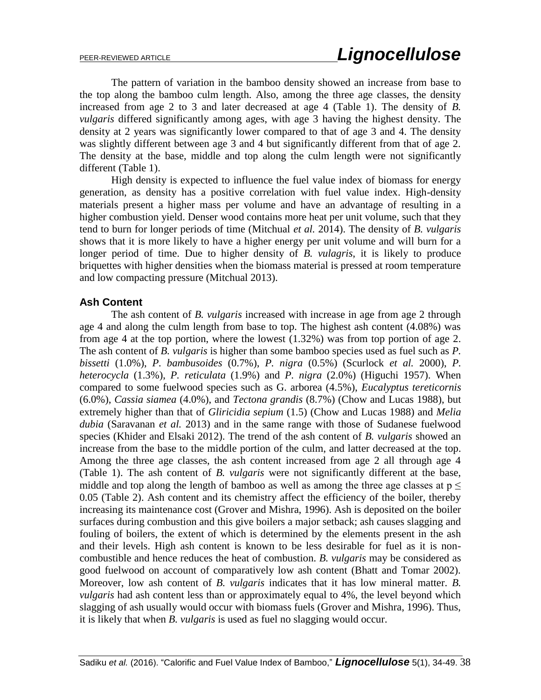The pattern of variation in the bamboo density showed an increase from base to the top along the bamboo culm length. Also, among the three age classes, the density increased from age 2 to 3 and later decreased at age 4 (Table 1). The density of *B. vulgaris* differed significantly among ages, with age 3 having the highest density. The density at 2 years was significantly lower compared to that of age 3 and 4. The density was slightly different between age 3 and 4 but significantly different from that of age 2. The density at the base, middle and top along the culm length were not significantly different (Table 1).

 High density is expected to influence the fuel value index of biomass for energy generation, as density has a positive correlation with fuel value index. High-density materials present a higher mass per volume and have an advantage of resulting in a higher combustion yield. Denser wood contains more heat per unit volume, such that they tend to burn for longer periods of time (Mitchual *et al.* 2014). The density of *B. vulgaris* shows that it is more likely to have a higher energy per unit volume and will burn for a longer period of time. Due to higher density of *B. vulagris*, it is likely to produce briquettes with higher densities when the biomass material is pressed at room temperature and low compacting pressure (Mitchual 2013).

### **Ash Content**

 The ash content of *B. vulgaris* increased with increase in age from age 2 through age 4 and along the culm length from base to top. The highest ash content (4.08%) was from age 4 at the top portion, where the lowest (1.32%) was from top portion of age 2. The ash content of *B. vulgaris* is higher than some bamboo species used as fuel such as *P. bissetti* (1.0%), *P. bambusoides* (0.7%), *P. nigra* (0.5%) (Scurlock *et al.* 2000), *P. heterocycla* (1.3%), *P. reticulata* (1.9%) and *P. nigra* (2.0%) (Higuchi 1957). When compared to some fuelwood species such as G. arborea (4.5%), *Eucalyptus tereticornis* (6.0%), *Cassia siamea* (4.0%), and *Tectona grandis* (8.7%) (Chow and Lucas 1988), but extremely higher than that of *Gliricidia sepium* (1.5) (Chow and Lucas 1988) and *Melia dubia* (Saravanan *et al.* 2013) and in the same range with those of Sudanese fuelwood species (Khider and Elsaki 2012). The trend of the ash content of *B. vulgaris* showed an increase from the base to the middle portion of the culm, and latter decreased at the top. Among the three age classes, the ash content increased from age 2 all through age 4 (Table 1). The ash content of *B. vulgaris* were not significantly different at the base, middle and top along the length of bamboo as well as among the three age classes at  $p \leq$ 0.05 (Table 2). Ash content and its chemistry affect the efficiency of the boiler, thereby increasing its maintenance cost (Grover and Mishra, 1996). Ash is deposited on the boiler surfaces during combustion and this give boilers a major setback; ash causes slagging and fouling of boilers, the extent of which is determined by the elements present in the ash and their levels. High ash content is known to be less desirable for fuel as it is noncombustible and hence reduces the heat of combustion. *B. vulgaris* may be considered as good fuelwood on account of comparatively low ash content (Bhatt and Tomar 2002). Moreover, low ash content of *B. vulgaris* indicates that it has low mineral matter. *B. vulgaris* had ash content less than or approximately equal to 4%, the level beyond which slagging of ash usually would occur with biomass fuels (Grover and Mishra, 1996). Thus, it is likely that when *B. vulgaris* is used as fuel no slagging would occur.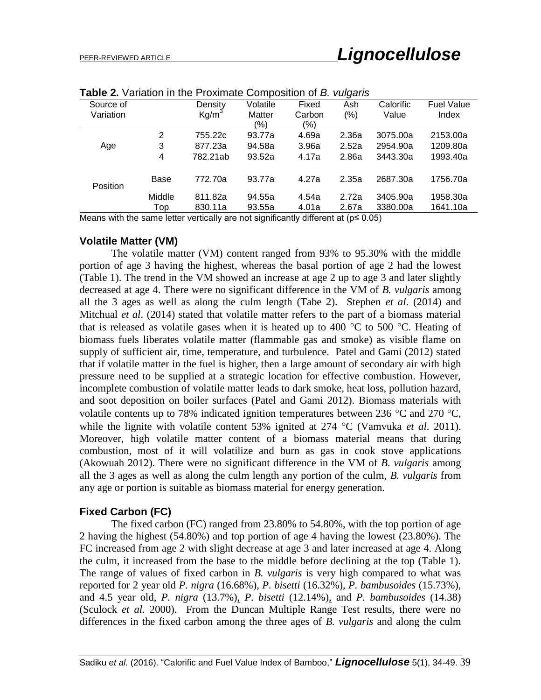| <b>Table 2.</b> Vanation in the Floximate Composition of <i>D. Valgan</i> o |        |                   |          |        |       |           |                   |
|-----------------------------------------------------------------------------|--------|-------------------|----------|--------|-------|-----------|-------------------|
| Source of                                                                   |        | Density           | Volatile | Fixed  | Ash   | Calorific | <b>Fuel Value</b> |
| Variation                                                                   |        | Kg/m <sup>3</sup> | Matter   | Carbon | (% )  | Value     | Index             |
|                                                                             |        |                   | (%)      | (%)    |       |           |                   |
|                                                                             | 2      | 755.22c           | 93.77a   | 4.69a  | 2.36a | 3075.00a  | 2153.00a          |
| Age                                                                         | 3      | 877.23a           | 94.58a   | 3.96a  | 2.52a | 2954.90a  | 1209.80a          |
|                                                                             | 4      | 782.21ab          | 93.52a   | 4.17a  | 2.86a | 3443.30a  | 1993.40a          |
| Position                                                                    | Base   | 772.70a           | 93.77a   | 4.27a  | 2.35a | 2687.30a  | 1756.70a          |
|                                                                             | Middle | 811.82a           | 94.55a   | 4.54a  | 2.72a | 3405.90a  | 1958.30a          |
|                                                                             | Top    | 830.11a           | 93.55a   | 4.01a  | 2.67a | 3380.00a  | 1641.10a          |
|                                                                             |        |                   |          |        |       |           |                   |

**Table 2.** Variation in the Proximate Composition of *B. vulgaris* 

Means with the same letter vertically are not significantly different at ( $p \le 0.05$ )

### **Volatile Matter (VM)**

The volatile matter (VM) content ranged from 93% to 95.30% with the middle portion of age 3 having the highest, whereas the basal portion of age 2 had the lowest (Table 1). The trend in the VM showed an increase at age 2 up to age 3 and later slightly decreased at age 4. There were no significant difference in the VM of *B. vulgaris* among all the 3 ages as well as along the culm length (Tabe 2). Stephen *et al*. (2014) and Mitchual *et al*. (2014) stated that volatile matter refers to the part of a biomass material that is released as volatile gases when it is heated up to 400  $\degree$ C to 500  $\degree$ C. Heating of biomass fuels liberates volatile matter (flammable gas and smoke) as visible flame on supply of sufficient air, time, temperature, and turbulence. Patel and Gami (2012) stated that if volatile matter in the fuel is higher, then a large amount of secondary air with high pressure need to be supplied at a strategic location for effective combustion. However, incomplete combustion of volatile matter leads to dark smoke, heat loss, pollution hazard, and soot deposition on boiler surfaces (Patel and Gami 2012). Biomass materials with volatile contents up to 78% indicated ignition temperatures between 236  $\degree$ C and 270  $\degree$ C, while the lignite with volatile content 53% ignited at 274 °C (Vamvuka *et al.* 2011). Moreover, high volatile matter content of a biomass material means that during combustion, most of it will volatilize and burn as gas in cook stove applications (Akowuah 2012). There were no significant difference in the VM of *B. vulgaris* among all the 3 ages as well as along the culm length any portion of the culm, *B. vulgaris* from any age or portion is suitable as biomass material for energy generation.

### **Fixed Carbon (FC)**

The fixed carbon (FC) ranged from 23.80% to 54.80%, with the top portion of age 2 having the highest (54.80%) and top portion of age 4 having the lowest (23.80%). The FC increased from age 2 with slight decrease at age 3 and later increased at age 4. Along the culm, it increased from the base to the middle before declining at the top (Table 1). The range of values of fixed carbon in *B. vulgaris* is very high compared to what was reported for 2 year old *P. nigra* (16.68%), *P. bisetti* (16.32%), *P. bambusoides* (15.73%), and 4.5 year old, *P. nigra* (13.7%), *P. bisetti* (12.14%), and *P. bambusoides* (14.38) (Sculock *et al.* 2000). From the Duncan Multiple Range Test results, there were no differences in the fixed carbon among the three ages of *B. vulgaris* and along the culm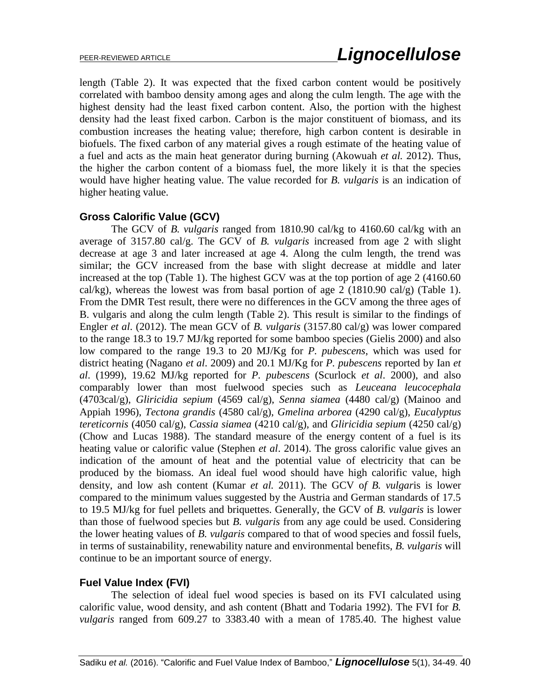length (Table 2). It was expected that the fixed carbon content would be positively correlated with bamboo density among ages and along the culm length. The age with the highest density had the least fixed carbon content. Also, the portion with the highest density had the least fixed carbon. Carbon is the major constituent of biomass, and its combustion increases the heating value; therefore, high carbon content is desirable in biofuels. The fixed carbon of any material gives a rough estimate of the heating value of a fuel and acts as the main heat generator during burning (Akowuah *et al.* 2012). Thus, the higher the carbon content of a biomass fuel, the more likely it is that the species would have higher heating value. The value recorded for *B. vulgaris* is an indication of higher heating value.

# **Gross Calorific Value (GCV)**

The GCV of *B. vulgaris* ranged from 1810.90 cal/kg to 4160.60 cal/kg with an average of 3157.80 cal/g. The GCV of *B. vulgaris* increased from age 2 with slight decrease at age 3 and later increased at age 4. Along the culm length, the trend was similar; the GCV increased from the base with slight decrease at middle and later increased at the top (Table 1). The highest GCV was at the top portion of age 2 (4160.60 cal/kg), whereas the lowest was from basal portion of age 2 (1810.90 cal/g) (Table 1). From the DMR Test result, there were no differences in the GCV among the three ages of B. vulgaris and along the culm length (Table 2). This result is similar to the findings of Engler *et al*. (2012). The mean GCV of *B. vulgaris* (3157.80 cal/g) was lower compared to the range 18.3 to 19.7 MJ/kg reported for some bamboo species (Gielis 2000) and also low compared to the range 19.3 to 20 MJ/Kg for *P. pubescens*, which was used for district heating (Nagano *et al*. 2009) and 20.1 MJ/Kg for *P. pubescens* reported by Ian *et al*. (1999), 19.62 MJ/kg reported for *P. pubescens* (Scurlock *et al*. 2000), and also comparably lower than most fuelwood species such as *Leuceana leucocephala* (4703cal/g), *Gliricidia sepium* (4569 cal/g), *Senna siamea* (4480 cal/g) (Mainoo and Appiah 1996), *Tectona grandis* (4580 cal/g), *Gmelina arborea* (4290 cal/g), *Eucalyptus tereticornis* (4050 cal/g), *Cassia siamea* (4210 cal/g), and *Gliricidia sepium* (4250 cal/g) (Chow and Lucas 1988). The standard measure of the energy content of a fuel is its heating value or calorific value (Stephen *et al*. 2014). The gross calorific value gives an indication of the amount of heat and the potential value of electricity that can be produced by the biomass. An ideal fuel wood should have high calorific value, high density, and low ash content (Kumar *et al.* 2011). The GCV o*f B. vulgar*is is lower compared to the minimum values suggested by the Austria and German standards of 17.5 to 19.5 MJ/kg for fuel pellets and briquettes. Generally, the GCV of *B. vulgaris* is lower than those of fuelwood species but *B. vulgaris* from any age could be used. Considering the lower heating values of *B. vulgaris* compared to that of wood species and fossil fuels, in terms of sustainability, renewability nature and environmental benefits, *B. vulgaris* will continue to be an important source of energy.

### **Fuel Value Index (FVI)**

The selection of ideal fuel wood species is based on its FVI calculated using calorific value, wood density, and ash content (Bhatt and Todaria 1992). The FVI for *B. vulgaris* ranged from 609.27 to 3383.40 with a mean of 1785.40. The highest value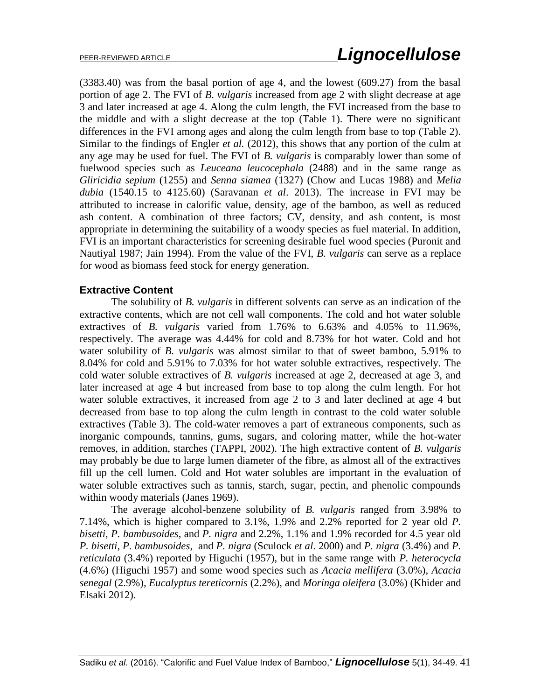(3383.40) was from the basal portion of age 4, and the lowest (609.27) from the basal portion of age 2. The FVI of *B. vulgaris* increased from age 2 with slight decrease at age 3 and later increased at age 4. Along the culm length, the FVI increased from the base to the middle and with a slight decrease at the top (Table 1). There were no significant differences in the FVI among ages and along the culm length from base to top (Table 2). Similar to the findings of Engler *et al.* (2012), this shows that any portion of the culm at any age may be used for fuel. The FVI of *B. vulgaris* is comparably lower than some of fuelwood species such as *Leuceana leucocephala* (2488) and in the same range as *Gliricidia sepium* (1255) and *Senna siamea* (1327) (Chow and Lucas 1988) and *Melia dubia* (1540.15 to 4125.60) (Saravanan *et al*. 2013). The increase in FVI may be attributed to increase in calorific value, density, age of the bamboo, as well as reduced ash content. A combination of three factors; CV, density, and ash content, is most appropriate in determining the suitability of a woody species as fuel material. In addition, FVI is an important characteristics for screening desirable fuel wood species (Puronit and Nautiyal 1987; Jain 1994). From the value of the FVI, *B. vulgaris* can serve as a replace for wood as biomass feed stock for energy generation.

# **Extractive Content**

 The solubility of *B. vulgaris* in different solvents can serve as an indication of the extractive contents, which are not cell wall components. The cold and hot water soluble extractives of *B. vulgaris* varied from 1.76% to 6.63% and 4.05% to 11.96%, respectively. The average was 4.44% for cold and 8.73% for hot water. Cold and hot water solubility of *B. vulgaris* was almost similar to that of sweet bamboo, 5.91% to 8.04% for cold and 5.91% to 7.03% for hot water soluble extractives, respectively. The cold water soluble extractives of *B. vulgaris* increased at age 2, decreased at age 3, and later increased at age 4 but increased from base to top along the culm length. For hot water soluble extractives, it increased from age 2 to 3 and later declined at age 4 but decreased from base to top along the culm length in contrast to the cold water soluble extractives (Table 3). The cold-water removes a part of extraneous components, such as inorganic compounds, tannins, gums, sugars, and coloring matter, while the hot-water removes, in addition, starches (TAPPI, 2002). The high extractive content of *B. vulgaris* may probably be due to large lumen diameter of the fibre, as almost all of the extractives fill up the cell lumen. Cold and Hot water solubles are important in the evaluation of water soluble extractives such as tannis, starch, sugar, pectin, and phenolic compounds within woody materials (Janes 1969).

 The average alcohol-benzene solubility of *B. vulgaris* ranged from 3.98% to 7.14%, which is higher compared to 3.1%, 1.9% and 2.2% reported for 2 year old *P. bisetti*, *P. bambusoides*, and *P. nigra* and 2.2%, 1.1% and 1.9% recorded for 4.5 year old *P. bisetti*, *P. bambusoides*, and *P. nigra* (Sculock *et al*. 2000) and *P. nigra* (3.4%) and *P. reticulata* (3.4%) reported by Higuchi (1957), but in the same range with *P. heterocycla* (4.6%) (Higuchi 1957) and some wood species such as *Acacia mellifera* (3.0%), *Acacia senegal* (2.9%), *Eucalyptus tereticornis* (2.2%), and *Moringa oleifera* (3.0%) (Khider and Elsaki 2012).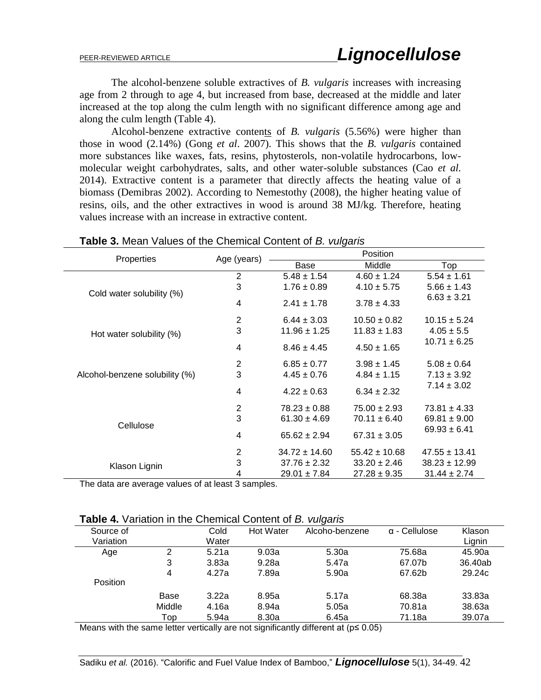The alcohol-benzene soluble extractives of *B. vulgaris* increases with increasing age from 2 through to age 4, but increased from base, decreased at the middle and later increased at the top along the culm length with no significant difference among age and along the culm length (Table 4).

 Alcohol-benzene extractive contents of *B. vulgaris* (5.56%) were higher than those in wood (2.14%) (Gong *et al*. 2007). This shows that the *B. vulgaris* contained more substances like waxes, fats, resins, phytosterols, non-volatile hydrocarbons, lowmolecular weight carbohydrates, salts, and other water-soluble substances (Cao *et al.* 2014). Extractive content is a parameter that directly affects the heating value of a biomass (Demibras 2002). According to Nemestothy (2008), the higher heating value of resins, oils, and the other extractives in wood is around 38 MJ/kg. Therefore, heating values increase with an increase in extractive content.

|                                |                | value of the chomical content of <i>D. Valgano</i><br>Position |                   |                   |  |
|--------------------------------|----------------|----------------------------------------------------------------|-------------------|-------------------|--|
| Properties                     | Age (years)    | Base                                                           | Middle            | Top               |  |
|                                | 2              | $5.48 \pm 1.54$                                                | $4.60 \pm 1.24$   | $5.54 \pm 1.61$   |  |
|                                | 3              | $1.76 \pm 0.89$                                                | $4.10 \pm 5.75$   | $5.66 \pm 1.43$   |  |
| Cold water solubility (%)      | 4              | $2.41 \pm 1.78$                                                | $3.78 \pm 4.33$   | $6.63 \pm 3.21$   |  |
|                                | 2              | $6.44 \pm 3.03$                                                | $10.50 \pm 0.82$  | $10.15 \pm 5.24$  |  |
| Hot water solubility (%)       | 3              | $11.96 \pm 1.25$                                               | $11.83 \pm 1.83$  | $4.05 \pm 5.5$    |  |
|                                | 4              | $8.46 \pm 4.45$                                                | $4.50 \pm 1.65$   | $10.71 \pm 6.25$  |  |
|                                | $\overline{2}$ | $6.85 \pm 0.77$                                                | $3.98 \pm 1.45$   | $5.08 \pm 0.64$   |  |
| Alcohol-benzene solubility (%) | 3              | $4.45 \pm 0.76$                                                | $4.84 \pm 1.15$   | $7.13 \pm 3.92$   |  |
|                                | 4              | $4.22 \pm 0.63$                                                | $6.34 \pm 2.32$   | $7.14 \pm 3.02$   |  |
|                                | $\overline{2}$ | $78.23 \pm 0.88$                                               | $75.00 \pm 2.93$  | $73.81 \pm 4.33$  |  |
|                                | 3              | $61.30 \pm 4.69$                                               | $70.11 \pm 6.40$  | $69.81 \pm 9.00$  |  |
| Cellulose                      | 4              | $65.62 \pm 2.94$                                               | $67.31 \pm 3.05$  | $69.93 \pm 6.41$  |  |
|                                | $\overline{c}$ | $34.72 \pm 14.60$                                              | $55.42 \pm 10.68$ | $47.55 \pm 13.41$ |  |
| Klason Lignin                  | 3              | $37.76 \pm 2.32$                                               | $33.20 \pm 2.46$  | $38.23 \pm 12.99$ |  |
|                                | 4              | $29.01 \pm 7.84$                                               | $27.28 \pm 9.35$  | $31.44 \pm 2.74$  |  |

### **Table 3.** Mean Values of the Chemical Content of *B. vulgaris*

The data are average values of at least 3 samples.

|  |  |  |  | <b>Table 4.</b> Variation in the Chemical Content of B. vulgaris |  |
|--|--|--|--|------------------------------------------------------------------|--|
|--|--|--|--|------------------------------------------------------------------|--|

|           |        |       |           | $\sim$ $\sim$                                                                              |                      |         |
|-----------|--------|-------|-----------|--------------------------------------------------------------------------------------------|----------------------|---------|
| Source of |        | Cold  | Hot Water | Alcoho-benzene                                                                             | $\alpha$ - Cellulose | Klason  |
| Variation |        | Water |           |                                                                                            |                      | Lignin  |
| Age       | 2      | 5.21a | 9.03a     | 5.30a                                                                                      | 75.68a               | 45.90a  |
|           | 3      | 3.83a | 9.28a     | 5.47a                                                                                      | 67.07b               | 36.40ab |
|           | 4      | 4.27a | 7.89a     | 5.90a                                                                                      | 67.62b               | 29.24c  |
| Position  |        |       |           |                                                                                            |                      |         |
|           | Base   | 3.22a | 8.95a     | 5.17a                                                                                      | 68.38a               | 33.83a  |
|           | Middle | 4.16a | 8.94a     | 5.05a                                                                                      | 70.81a               | 38.63a  |
|           | Top    | 5.94a | 8.30a     | 6.45a                                                                                      | 71.18a               | 39.07a  |
|           |        |       |           | Means with the came letter verticelly are not significantly different of $(x \wedge 0.05)$ |                      |         |

Means with the same letter vertically are not significantly different at (p≤ 0.05)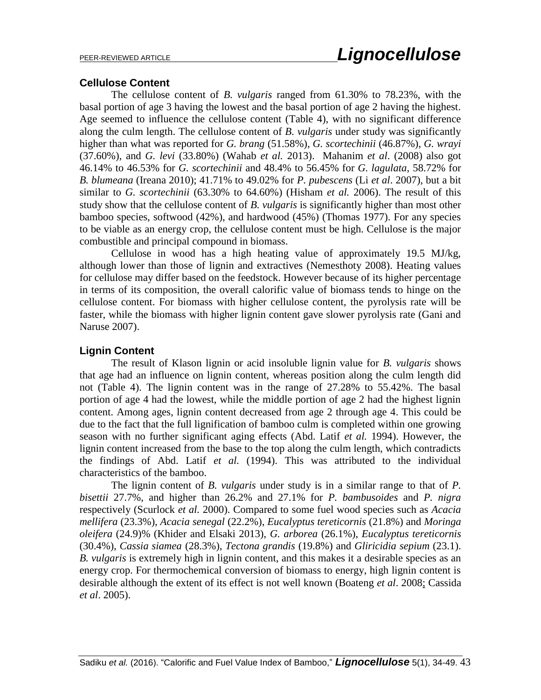### **Cellulose Content**

 The cellulose content of *B. vulgaris* ranged from 61.30% to 78.23%, with the basal portion of age 3 having the lowest and the basal portion of age 2 having the highest. Age seemed to influence the cellulose content (Table 4), with no significant difference along the culm length. The cellulose content of *B. vulgaris* under study was significantly higher than what was reported for *G. brang* (51.58%), *G. scortechinii* (46.87%), *G. wrayi* (37.60%), and *G. levi* (33.80%) (Wahab *et al.* 2013). Mahanim *et al*. (2008) also got 46.14% to 46.53% for *G. scortechinii* and 48.4% to 56.45% for *G. lagulata*, 58.72% for *B. blumeana* (Ireana 2010); 41.71% to 49.02% for *P. pubescens* (Li *et al*. 2007), but a bit similar to *G. scortechinii* (63.30% to 64.60%) (Hisham *et al.* 2006). The result of this study show that the cellulose content of *B. vulgaris* is significantly higher than most other bamboo species, softwood (42%), and hardwood (45%) (Thomas 1977). For any species to be viable as an energy crop, the cellulose content must be high. Cellulose is the major combustible and principal compound in biomass.

Cellulose in wood has a high heating value of approximately 19.5 MJ/kg, although lower than those of lignin and extractives (Nemesthoty 2008). Heating values for cellulose may differ based on the feedstock. However because of its higher percentage in terms of its composition, the overall calorific value of biomass tends to hinge on the cellulose content. For biomass with higher cellulose content, the pyrolysis rate will be faster, while the biomass with higher lignin content gave slower pyrolysis rate (Gani and Naruse 2007).

### **Lignin Content**

 The result of Klason lignin or acid insoluble lignin value for *B. vulgaris* shows that age had an influence on lignin content, whereas position along the culm length did not (Table 4). The lignin content was in the range of 27.28% to 55.42%. The basal portion of age 4 had the lowest, while the middle portion of age 2 had the highest lignin content. Among ages, lignin content decreased from age 2 through age 4. This could be due to the fact that the full lignification of bamboo culm is completed within one growing season with no further significant aging effects (Abd. Latif *et al.* 1994). However, the lignin content increased from the base to the top along the culm length, which contradicts the findings of Abd. Latif *et al.* (1994). This was attributed to the individual characteristics of the bamboo.

The lignin content of *B. vulgaris* under study is in a similar range to that of *P. bisettii* 27.7%, and higher than 26.2% and 27.1% for *P. bambusoides* and *P. nigra* respectively (Scurlock *et al.* 2000). Compared to some fuel wood species such as *Acacia mellifera* (23.3%), *Acacia senegal* (22.2%), *Eucalyptus tereticornis* (21.8%) and *Moringa oleifera* (24.9)% (Khider and Elsaki 2013), *G. arborea* (26.1%), *Eucalyptus tereticornis* (30.4%), *Cassia siamea* (28.3%), *Tectona grandis* (19.8%) and *Gliricidia sepium* (23.1). *B. vulgaris* is extremely high in lignin content, and this makes it a desirable species as an energy crop. For thermochemical conversion of biomass to energy, high lignin content is desirable although the extent of its effect is not well known (Boateng *et al*. 2008; Cassida *et al*. 2005).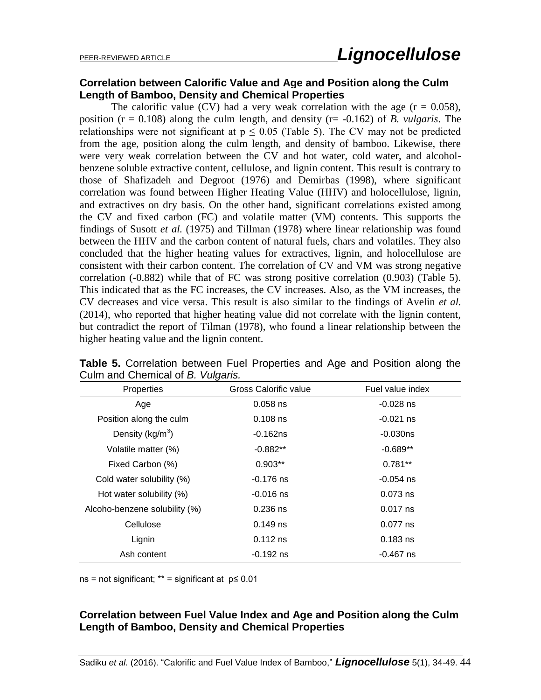# **Correlation between Calorific Value and Age and Position along the Culm Length of Bamboo, Density and Chemical Properties**

The calorific value (CV) had a very weak correlation with the age  $(r = 0.058)$ , position (r = 0.108) along the culm length, and density (r= -0.162) of *B. vulgaris*. The relationships were not significant at  $p \le 0.05$  (Table 5). The CV may not be predicted from the age, position along the culm length, and density of bamboo. Likewise, there were very weak correlation between the CV and hot water, cold water, and alcoholbenzene soluble extractive content, cellulose, and lignin content. This result is contrary to those of Shafizadeh and Degroot (1976) and Demirbas (1998), where significant correlation was found between Higher Heating Value (HHV) and holocellulose, lignin, and extractives on dry basis. On the other hand, significant correlations existed among the CV and fixed carbon (FC) and volatile matter (VM) contents. This supports the findings of Susott *et al.* (1975) and Tillman (1978) where linear relationship was found between the HHV and the carbon content of natural fuels, chars and volatiles. They also concluded that the higher heating values for extractives, lignin, and holocellulose are consistent with their carbon content. The correlation of CV and VM was strong negative correlation (-0.882) while that of FC was strong positive correlation (0.903) (Table 5). This indicated that as the FC increases, the CV increases. Also, as the VM increases, the CV decreases and vice versa. This result is also similar to the findings of Avelin *et al.* (2014), who reported that higher heating value did not correlate with the lignin content, but contradict the report of Tilman (1978), who found a linear relationship between the higher heating value and the lignin content.

| Properties                    | Gross Calorific value | Fuel value index |
|-------------------------------|-----------------------|------------------|
| Age                           | $0.058$ ns            | $-0.028$ ns      |
| Position along the culm       | $0.108$ ns            | $-0.021$ ns      |
| Density ( $kg/m3$ )           | $-0.162ns$            | $-0.030ns$       |
| Volatile matter (%)           | $-0.882**$            | $-0.689**$       |
| Fixed Carbon (%)              | $0.903**$             | $0.781**$        |
| Cold water solubility (%)     | $-0.176$ ns           | -0.054 ns        |
| Hot water solubility (%)      | $-0.016$ ns           | $0.073$ ns       |
| Alcoho-benzene solubility (%) | $0.236$ ns            | $0.017$ ns       |
| Cellulose                     | $0.149$ ns            | $0.077$ ns       |
| Lignin                        | $0.112$ ns            | $0.183$ ns       |
| Ash content                   | $-0.192$ ns           | -0.467 ns        |

**Table 5.** Correlation between Fuel Properties and Age and Position along the Culm and Chemical of *B. Vulgaris.*

 $ns = not significant; ** = significant at  $p \leq 0.01$$ 

# **Correlation between Fuel Value Index and Age and Position along the Culm Length of Bamboo, Density and Chemical Properties**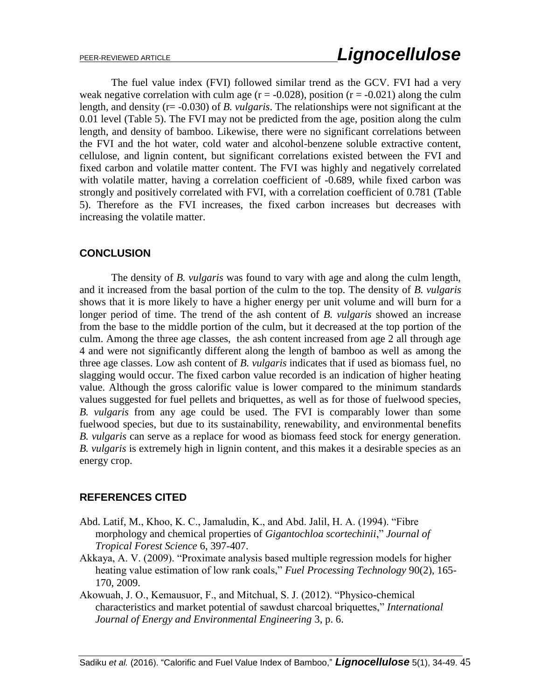The fuel value index (FVI) followed similar trend as the GCV. FVI had a very weak negative correlation with culm age  $(r = -0.028)$ , position  $(r = -0.021)$  along the culm length, and density (r= -0.030) of *B. vulgaris*. The relationships were not significant at the 0.01 level (Table 5). The FVI may not be predicted from the age, position along the culm length, and density of bamboo. Likewise, there were no significant correlations between the FVI and the hot water, cold water and alcohol-benzene soluble extractive content, cellulose, and lignin content, but significant correlations existed between the FVI and fixed carbon and volatile matter content. The FVI was highly and negatively correlated with volatile matter, having a correlation coefficient of -0.689, while fixed carbon was strongly and positively correlated with FVI, with a correlation coefficient of 0.781 (Table 5). Therefore as the FVI increases, the fixed carbon increases but decreases with increasing the volatile matter.

# **CONCLUSION**

The density of *B. vulgaris* was found to vary with age and along the culm length, and it increased from the basal portion of the culm to the top. The density of *B. vulgaris*  shows that it is more likely to have a higher energy per unit volume and will burn for a longer period of time. The trend of the ash content of *B. vulgaris* showed an increase from the base to the middle portion of the culm, but it decreased at the top portion of the culm. Among the three age classes, the ash content increased from age 2 all through age 4 and were not significantly different along the length of bamboo as well as among the three age classes. Low ash content of *B. vulgaris* indicates that if used as biomass fuel, no slagging would occur. The fixed carbon value recorded is an indication of higher heating value. Although the gross calorific value is lower compared to the minimum standards values suggested for fuel pellets and briquettes, as well as for those of fuelwood species, *B. vulgaris* from any age could be used. The FVI is comparably lower than some fuelwood species, but due to its sustainability, renewability, and environmental benefits *B. vulgaris* can serve as a replace for wood as biomass feed stock for energy generation. *B. vulgaris* is extremely high in lignin content, and this makes it a desirable species as an energy crop.

# **REFERENCES CITED**

- Abd. Latif, M., Khoo, K. C., Jamaludin, K., and Abd. Jalil, H. A. (1994). "Fibre morphology and chemical properties of *Gigantochloa scortechinii*," *Journal of Tropical Forest Science* 6, 397-407.
- Akkaya, A. V. (2009). "Proximate analysis based multiple regression models for higher heating value estimation of low rank coals," *Fuel Processing Technology* 90(2), 165- 170, 2009.
- Akowuah, J. O., Kemausuor, F., and Mitchual, S. J. (2012). "Physico-chemical characteristics and market potential of sawdust charcoal briquettes," *International Journal of Energy and Environmental Engineering* 3, p. 6.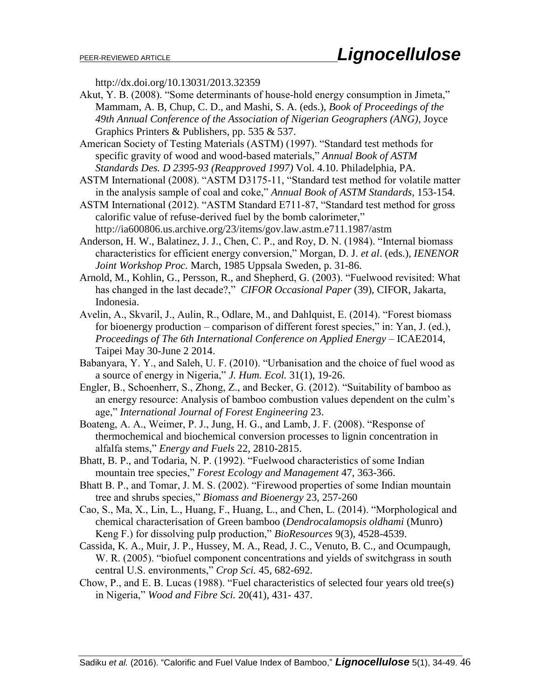http://dx.doi.org/10.13031/2013.32359

- Akut, Y. B. (2008). "Some determinants of house-hold energy consumption in Jimeta," Mammam, A. B, Chup, C. D., and Mashi, S. A. (eds.), *Book of Proceedings of the 49th Annual Conference of the Association of Nigerian Geographers (ANG)*, Joyce Graphics Printers & Publishers, pp. 535 & 537.
- American Society of Testing Materials (ASTM) (1997). "Standard test methods for specific gravity of wood and wood-based materials," *Annual Book of ASTM Standards Des. D 2395-93 (Reapproved 1997)* Vol. 4.10. Philadelphia, PA.
- ASTM International (2008). "ASTM D3175-11, "Standard test method for volatile matter in the analysis sample of coal and coke," *Annual Book of ASTM Standards*, 153-154.
- ASTM International (2012). "ASTM Standard E711-87, "Standard test method for gross calorific value of refuse-derived fuel by the bomb calorimeter," http://ia600806.us.archive.org/23/items/gov.law.astm.e711.1987/astm
- Anderson, H. W., Balatinez, J. J., Chen, C. P., and Roy, D. N. (1984). "Internal biomass characteristics for efficient energy conversion," Morgan, D. J. *et al*. (eds.), *IENENOR Joint Workshop Proc.* March, 1985 Uppsala Sweden, p. 31-86.
- Arnold, M., Kohlin, G., Persson, R., and Shepherd, G. (2003). "Fuelwood revisited: What has changed in the last decade?," *CIFOR Occasional Paper* (39), CIFOR, Jakarta, Indonesia.
- Avelin, A., Skvaril, J., Aulin, R., Odlare, M., and Dahlquist, E. (2014). "Forest biomass for bioenergy production – comparison of different forest species," in: Yan, J. (ed.), *Proceedings of The 6th International Conference on Applied Energy* – ICAE2014, Taipei May 30-June 2 2014.
- Babanyara, Y. Y., and Saleh, U. F. (2010). "Urbanisation and the choice of fuel wood as a source of energy in Nigeria," *J. Hum. Ecol.* 31(1), 19-26.
- Engler, B., Schoenherr, S., Zhong, Z., and Becker, G. (2012). "Suitability of bamboo as an energy resource: Analysis of bamboo combustion values dependent on the culm's age," *International Journal of Forest Engineering* 23.
- Boateng, A. A., Weimer, P. J., Jung, H. G., and Lamb, J. F. (2008). "Response of thermochemical and biochemical conversion processes to lignin concentration in alfalfa stems," *Energy and Fuels* 22, 2810-2815.
- Bhatt, B. P., and Todaria, N. P. (1992). "Fuelwood characteristics of some Indian mountain tree species," *Forest Ecology and Management* 47, 363-366.
- Bhatt B. P., and Tomar, J. M. S. (2002). "Firewood properties of some Indian mountain tree and shrubs species," *Biomass and Bioenergy* 23, 257-260
- Cao, S., Ma, X., Lin, L., Huang, F., Huang, L., and Chen, L. (2014). "Morphological and chemical characterisation of Green bamboo (*Dendrocalamopsis oldhami* (Munro) Keng F.) for dissolving pulp production," *BioResources* 9(3), 4528-4539.
- Cassida, K. A., Muir, J. P., Hussey, M. A., Read, J. C., Venuto, B. C., and Ocumpaugh, W. R. (2005). "biofuel component concentrations and yields of switchgrass in south central U.S. environments," *Crop Sci.* 45, 682-692.
- Chow, P., and E. B. Lucas (1988). "Fuel characteristics of selected four years old tree(s) in Nigeria," *Wood and Fibre Sci.* 20(41), 431- 437.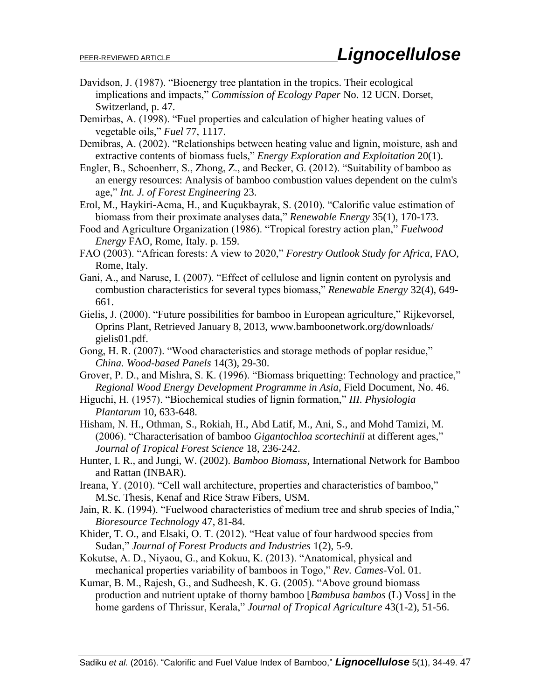- Davidson, J. (1987). "Bioenergy tree plantation in the tropics. Their ecological implications and impacts," *Commission of Ecology Paper* No. 12 UCN. Dorset, Switzerland, p. 47.
- Demirbas, A. (1998). "Fuel properties and calculation of higher heating values of vegetable oils," *Fuel* 77, 1117.
- Demibras, A. (2002). "Relationships between heating value and lignin, moisture, ash and extractive contents of biomass fuels," *Energy Exploration and Exploitation* 20(1).
- Engler, B., Schoenherr, S., Zhong, Z., and Becker, G. (2012). "Suitability of bamboo as an energy resources: Analysis of bamboo combustion values dependent on the culm's age," *Int. J. of Forest Engineering* 23.
- Erol, M., Haykiri-Acma, H., and Kuçukbayrak, S. (2010). "Calorific value estimation of biomass from their proximate analyses data," *Renewable Energy* 35(1), 170-173.
- Food and Agriculture Organization (1986). "Tropical forestry action plan," *Fuelwood Energy* FAO, Rome, Italy. p. 159.
- FAO (2003). "African forests: A view to 2020," *Forestry Outlook Study for Africa*, FAO, Rome, Italy.
- Gani, A., and Naruse, I. (2007). "Effect of cellulose and lignin content on pyrolysis and combustion characteristics for several types biomass," *Renewable Energy* 32(4), 649- 661.
- Gielis, J. (2000). "Future possibilities for bamboo in European agriculture," Rijkevorsel, Oprins Plant, Retrieved January 8, 2013, [www.bamboonetwork.org/downloads/](http://www.bamboonetwork.org/downloads/) gielis01.pdf.
- Gong, H. R. (2007). "Wood characteristics and storage methods of poplar residue," *China. Wood-based Panels* 14(3), 29-30.
- Grover, P. D., and Mishra, S. K. (1996). "Biomass briquetting: Technology and practice," *Regional Wood Energy Development Programme in Asia*, Field Document, No. 46.
- Higuchi, H. (1957). "Biochemical studies of lignin formation," *III. Physiologia Plantarum* 10, 633-648.
- Hisham, N. H., Othman, S., Rokiah, H., Abd Latif, M., Ani, S., and Mohd Tamizi, M. (2006). "Characterisation of bamboo *Gigantochloa scortechinii* at different ages," *Journal of Tropical Forest Science* 18, 236-242.
- Hunter, I. R., and Jungi, W. (2002). *Bamboo Biomass*, International Network for Bamboo and Rattan (INBAR).
- Ireana, Y. (2010). "Cell wall architecture, properties and characteristics of bamboo," M.Sc. Thesis, Kenaf and Rice Straw Fibers, USM.
- Jain, R. K. (1994). "Fuelwood characteristics of medium tree and shrub species of India," *Bioresource Technology* 47, 81-84.
- Khider, T. O., and Elsaki, O. T. (2012). "Heat value of four hardwood species from Sudan," *Journal of Forest Products and Industries* 1(2), 5-9.
- Kokutse, A. D., Niyaou, G., and Kokuu, K. (2013). "Anatomical, physical and mechanical properties variability of bamboos in Togo," *Rev. Cames-*Vol. 01.
- Kumar, B. M., Rajesh, G., and Sudheesh, K. G. (2005). "Above ground biomass production and nutrient uptake of thorny bamboo [*Bambusa bambos* (L) Voss] in the home gardens of Thrissur, Kerala," *Journal of Tropical Agriculture* 43(1-2), 51-56.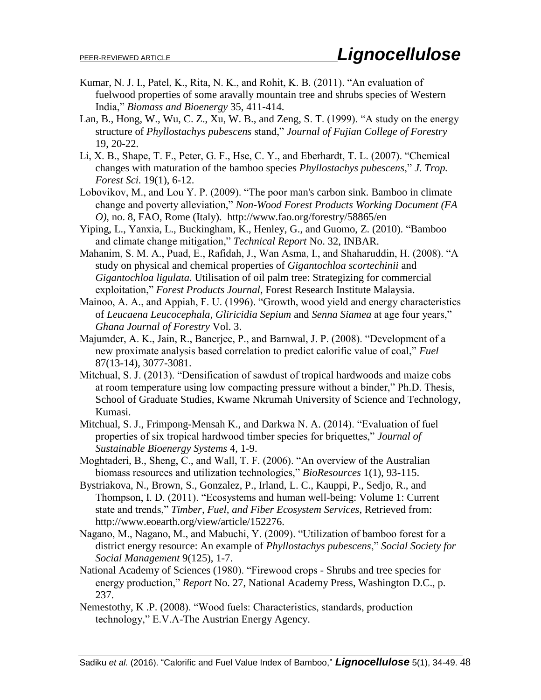- Kumar, N. J. I., Patel, K., Rita, N. K., and Rohit, K. B. (2011). "An evaluation of fuelwood properties of some aravally mountain tree and shrubs species of Western India," *Biomass and Bioenergy* 35, 411-414.
- Lan, B., Hong, W., Wu, C. Z., Xu, W. B., and Zeng, S. T. (1999). "A study on the energy structure of *Phyllostachys pubescens* stand," *Journal of Fujian College of Forestry* 19, 20-22.
- Li, X. B., Shape, T. F., Peter, G. F., Hse, C. Y., and Eberhardt, T. L. (2007). "Chemical changes with maturation of the bamboo species *Phyllostachys pubescens*," *J. Trop. Forest Sci.* 19(1), 6-12.
- Lobovikov, M., and Lou Y. P. (2009). "The poor man's carbon sink. Bamboo in climate change and poverty alleviation," *Non-Wood Forest Products Working Document (FA O)*, no. 8, FAO, Rome (Italy). <http://www.fao.org/forestry/58865/en>
- Yiping, L., Yanxia, L., Buckingham, K., Henley, G., and Guomo, Z. (2010). "Bamboo and climate change mitigation," *Technical Report* No. 32, INBAR.
- Mahanim, S. M. A., Puad, E., Rafidah, J., Wan Asma, I., and Shaharuddin, H. (2008). "A study on physical and chemical properties of *Gigantochloa scortechinii* and *Gigantochloa ligulata*. Utilisation of oil palm tree: Strategizing for commercial exploitation," *Forest Products Journal*, Forest Research Institute Malaysia.
- Mainoo, A. A., and Appiah, F. U. (1996). "Growth, wood yield and energy characteristics of *Leucaena Leucocephala*, *Gliricidia Sepium* and *Senna Siamea* at age four years," *Ghana Journal of Forestry* Vol. 3.
- Majumder, A. K., Jain, R., Banerjee, P., and Barnwal, J. P. (2008). "Development of a new proximate analysis based correlation to predict calorific value of coal," *Fuel* 87(13-14), 3077-3081.
- Mitchual, S. J. (2013). "Densification of sawdust of tropical hardwoods and maize cobs at room temperature using low compacting pressure without a binder," Ph.D. Thesis, School of Graduate Studies, Kwame Nkrumah University of Science and Technology, Kumasi.
- Mitchual, S. J., Frimpong-Mensah K., and Darkwa N. A. (2014). "Evaluation of fuel properties of six tropical hardwood timber species for briquettes," *Journal of Sustainable Bioenergy Systems* 4, 1-9.
- Moghtaderi, B., Sheng, C., and Wall, T. F. (2006). "An overview of the Australian biomass resources and utilization technologies," *BioResources* 1(1), 93-115.
- Bystriakova, N., Brown, S., Gonzalez, P., Irland, L. C., Kauppi, P., Sedjo, R., and Thompson, I. D. (2011). "Ecosystems and human well-being: Volume 1: Current state and trends," *Timber, Fuel, and Fiber Ecosystem Services*, Retrieved from: http://www.eoearth.org/view/article/152276.
- Nagano, M., Nagano, M., and Mabuchi, Y. (2009). "Utilization of bamboo forest for a district energy resource: An example of *Phyllostachys pubescens*," *Social Society for Social Management* 9(125), 1-7.
- National Academy of Sciences (1980). "Firewood crops Shrubs and tree species for energy production," *Report* No. 27, National Academy Press, Washington D.C., p. 237.
- Nemestothy, K .P. (2008). "Wood fuels: Characteristics, standards, production technology," E.V.A-The Austrian Energy Agency.